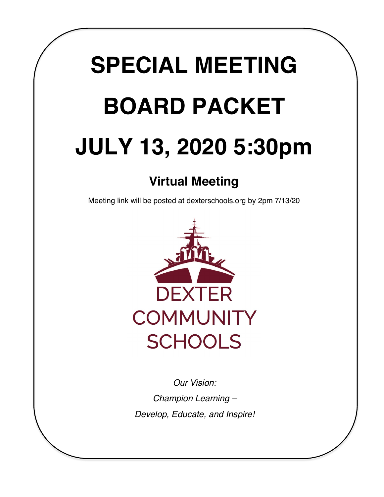# **SPECIAL MEETING BOARD PACKET JULY 13, 2020 5:30pm**

# **Virtual Meeting**

Meeting link will be posted at dexterschools.org by 2pm 7/13/20



*Our Vision: Champion Learning – Develop, Educate, and Inspire!*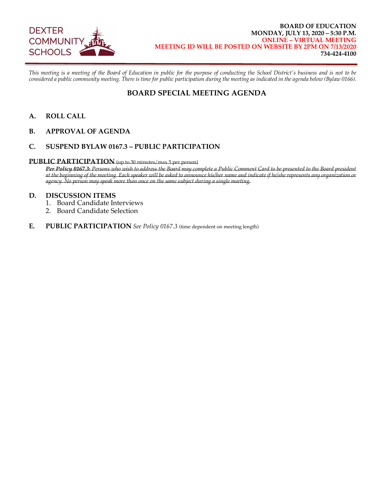

*This meeting is a meeting of the Board of Education in public for the purpose of conducting the School District's business and is not to be considered a public community meeting. There is time for public participation during the meeting as indicated in the agenda below (Bylaw 0166).* 

## **BOARD SPECIAL MEETING AGENDA**

- **A. ROLL CALL**
- **B. APPROVAL OF AGENDA**

## **C. SUSPEND BYLAW 0167.3 – PUBLIC PARTICIPATION**

### **PUBLIC PARTICIPATION** (up to 30 minutes/max 5 per person)

*Per Policy 0167.3***:** *Persons who wish to address the Board may complete a Public Comment Card to be presented to the Board president at the beginning of the meeting. Each speaker will be asked to announce his/her name and indicate if he/she represents any organization or agency. No person may speak more than once on the same subject during a single meeting.* 

### **D. DISCUSSION ITEMS**

- 1. Board Candidate Interviews
- 2. Board Candidate Selection
- **E.** PUBLIC PARTICIPATION *See Policy 0167.3* (time dependent on meeting length)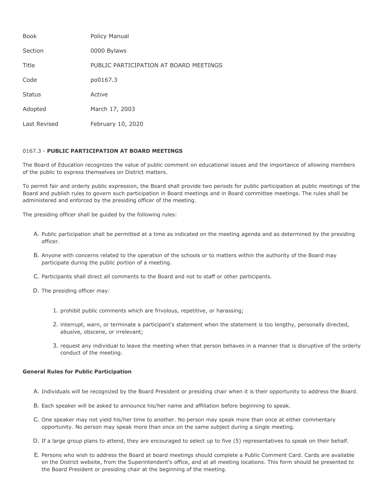| <b>Book</b>   | Policy Manual                          |
|---------------|----------------------------------------|
| Section       | 0000 Bylaws                            |
| Title         | PUBLIC PARTICIPATION AT BOARD MEETINGS |
| Code          | po0167.3                               |
| <b>Status</b> | Active                                 |
| Adopted       | March 17, 2003                         |
| Last Revised  | February 10, 2020                      |

#### 0167.3 - **PUBLIC PARTICIPATION AT BOARD MEETINGS**

The Board of Education recognizes the value of public comment on educational issues and the importance of allowing members of the public to express themselves on District matters.

To permit fair and orderly public expression, the Board shall provide two periods for public participation at public meetings of the Board and publish rules to govern such participation in Board meetings and in Board committee meetings. The rules shall be administered and enforced by the presiding officer of the meeting.

The presiding officer shall be guided by the following rules:

- A. Public participation shall be permitted at a time as indicated on the meeting agenda and as determined by the presiding officer.
- B. Anyone with concerns related to the operation of the schools or to matters within the authority of the Board may participate during the public portion of a meeting.
- C. Participants shall direct all comments to the Board and not to staff or other participants.
- D. The presiding officer may:
	- 1. prohibit public comments which are frivolous, repetitive, or harassing;
	- 2. interrupt, warn, or terminate a participant's statement when the statement is too lengthy, personally directed, abusive, obscene, or irrelevant;
	- 3. request any individual to leave the meeting when that person behaves in a manner that is disruptive of the orderly conduct of the meeting.

#### **General Rules for Public Participation**

- A. Individuals will be recognized by the Board President or presiding chair when it is their opportunity to address the Board.
- B. Each speaker will be asked to announce his/her name and affiliation before beginning to speak.
- C. One speaker may not yield his/her time to another. No person may speak more than once at either commentary opportunity. No person may speak more than once on the same subject during a single meeting.
- D. If a large group plans to attend, they are encouraged to select up to five (5) representatives to speak on their behalf.
- E. Persons who wish to address the Board at board meetings should complete a Public Comment Card. Cards are available on the District website, from the Superintendent's office, and at all meeting locations. This form should be presented to the Board President or presiding chair at the beginning of the meeting.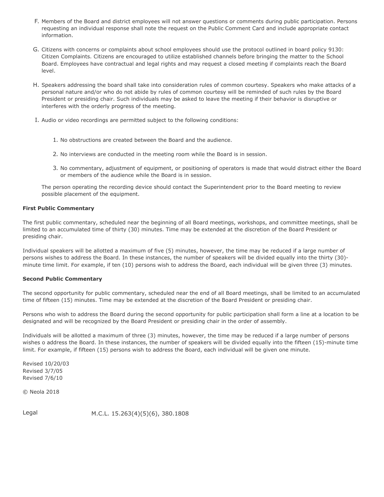- F. Members of the Board and district employees will not answer questions or comments during public participation. Persons requesting an individual response shall note the request on the Public Comment Card and include appropriate contact information.
- G. Citizens with concerns or complaints about school employees should use the protocol outlined in board policy 9130: Citizen Complaints. Citizens are encouraged to utilize established channels before bringing the matter to the School Board. Employees have contractual and legal rights and may request a closed meeting if complaints reach the Board level.
- H. Speakers addressing the board shall take into consideration rules of common courtesy. Speakers who make attacks of a personal nature and/or who do not abide by rules of common courtesy will be reminded of such rules by the Board President or presiding chair. Such individuals may be asked to leave the meeting if their behavior is disruptive or interferes with the orderly progress of the meeting.
- I. Audio or video recordings are permitted subject to the following conditions:
	- 1. No obstructions are created between the Board and the audience.
	- 2. No interviews are conducted in the meeting room while the Board is in session.
	- 3. No commentary, adjustment of equipment, or positioning of operators is made that would distract either the Board or members of the audience while the Board is in session.

The person operating the recording device should contact the Superintendent prior to the Board meeting to review possible placement of the equipment.

#### **First Public Commentary**

The first public commentary, scheduled near the beginning of all Board meetings, workshops, and committee meetings, shall be limited to an accumulated time of thirty (30) minutes. Time may be extended at the discretion of the Board President or presiding chair.

Individual speakers will be allotted a maximum of five (5) minutes, however, the time may be reduced if a large number of persons wishes to address the Board. In these instances, the number of speakers will be divided equally into the thirty (30) minute time limit. For example, if ten (10) persons wish to address the Board, each individual will be given three (3) minutes.

#### **Second Public Commentary**

The second opportunity for public commentary, scheduled near the end of all Board meetings, shall be limited to an accumulated time of fifteen (15) minutes. Time may be extended at the discretion of the Board President or presiding chair.

Persons who wish to address the Board during the second opportunity for public participation shall form a line at a location to be designated and will be recognized by the Board President or presiding chair in the order of assembly.

Individuals will be allotted a maximum of three (3) minutes, however, the time may be reduced if a large number of persons wishes o address the Board. In these instances, the number of speakers will be divided equally into the fifteen (15)-minute time limit. For example, if fifteen (15) persons wish to address the Board, each individual will be given one minute.

Revised 10/20/03 Revised 3/7/05 Revised 7/6/10

© Neola 2018

Legal M.C.L. 15.263(4)(5)(6), 380.1808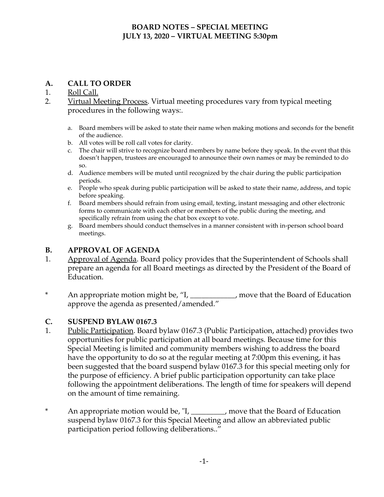## **BOARD NOTES – SPECIAL MEETING JULY 13, 2020 – VIRTUAL MEETING 5:30pm**

## **A. CALL TO ORDER**

## 1. Roll Call.

- 2. Virtual Meeting Process. Virtual meeting procedures vary from typical meeting procedures in the following ways:.
	- a. Board members will be asked to state their name when making motions and seconds for the benefit of the audience.
	- b. All votes will be roll call votes for clarity.
	- c. The chair will strive to recognize board members by name before they speak. In the event that this doesn't happen, trustees are encouraged to announce their own names or may be reminded to do so.
	- d. Audience members will be muted until recognized by the chair during the public participation periods.
	- e. People who speak during public participation will be asked to state their name, address, and topic before speaking.
	- f. Board members should refrain from using email, texting, instant messaging and other electronic forms to communicate with each other or members of the public during the meeting, and specifically refrain from using the chat box except to vote.
	- g. Board members should conduct themselves in a manner consistent with in-person school board meetings.

## **B. APPROVAL OF AGENDA**

- 1. Approval of Agenda. Board policy provides that the Superintendent of Schools shall prepare an agenda for all Board meetings as directed by the President of the Board of Education.
- \* An appropriate motion might be, "I, \_\_\_\_\_\_\_\_\_\_\_\_, move that the Board of Education approve the agenda as presented/amended."

## **C. SUSPEND BYLAW 0167.3**

- 1. Public Participation. Board bylaw 0167.3 (Public Participation, attached) provides two opportunities for public participation at all board meetings. Because time for this Special Meeting is limited and community members wishing to address the board have the opportunity to do so at the regular meeting at 7:00pm this evening, it has been suggested that the board suspend bylaw 0167.3 for this special meeting only for the purpose of efficiency. A brief public participation opportunity can take place following the appointment deliberations. The length of time for speakers will depend on the amount of time remaining.
- \* An appropriate motion would be, "I, \_\_\_\_\_\_\_\_\_, move that the Board of Education suspend bylaw 0167.3 for this Special Meeting and allow an abbreviated public participation period following deliberations.."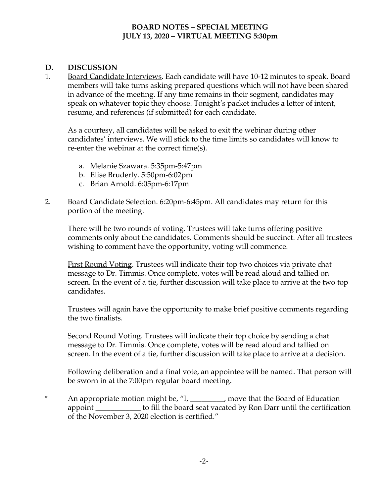## **BOARD NOTES – SPECIAL MEETING JULY 13, 2020 – VIRTUAL MEETING 5:30pm**

## **D. DISCUSSION**

1. Board Candidate Interviews. Each candidate will have 10-12 minutes to speak. Board members will take turns asking prepared questions which will not have been shared in advance of the meeting. If any time remains in their segment, candidates may speak on whatever topic they choose. Tonight's packet includes a letter of intent, resume, and references (if submitted) for each candidate.

As a courtesy, all candidates will be asked to exit the webinar during other candidates' interviews. We will stick to the time limits so candidates will know to re-enter the webinar at the correct time(s).

- a. Melanie Szawara. 5:35pm-5:47pm
- b. Elise Bruderly. 5:50pm-6:02pm
- c. Brian Arnold. 6:05pm-6:17pm
- 2. Board Candidate Selection. 6:20pm-6:45pm. All candidates may return for this portion of the meeting.

There will be two rounds of voting. Trustees will take turns offering positive comments only about the candidates. Comments should be succinct. After all trustees wishing to comment have the opportunity, voting will commence.

First Round Voting. Trustees will indicate their top two choices via private chat message to Dr. Timmis. Once complete, votes will be read aloud and tallied on screen. In the event of a tie, further discussion will take place to arrive at the two top candidates.

Trustees will again have the opportunity to make brief positive comments regarding the two finalists.

Second Round Voting. Trustees will indicate their top choice by sending a chat message to Dr. Timmis. Once complete, votes will be read aloud and tallied on screen. In the event of a tie, further discussion will take place to arrive at a decision.

Following deliberation and a final vote, an appointee will be named. That person will be sworn in at the 7:00pm regular board meeting.

\* An appropriate motion might be, "I, \_\_\_\_\_\_\_\_\_, move that the Board of Education appoint \_\_\_\_\_\_\_\_\_\_\_\_\_ to fill the board seat vacated by Ron Darr until the certification of the November 3, 2020 election is certified."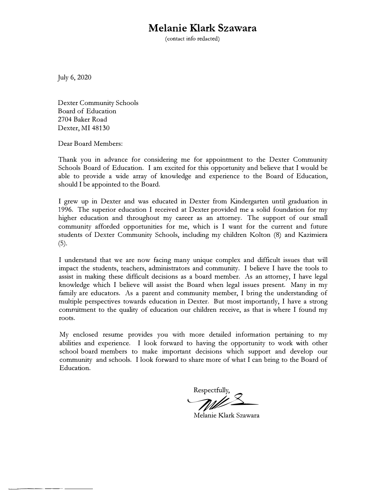## **Melanie Klark Szawara**

(contact info redacted)

July 6, 2020

--------

Dexter Community Schools Board of Education 2704 Baker Road Dexter, MI 48130

Dear Board Members:

Thank you in advance for considering me for appointment to the Dexter Community Schools Board of Education. I am excited for this opportunity and believe that I would be able to provide a wide array of knowledge and experience to the Board of Education, should I be appointed to the Board.

I grew up in Dexter and was educated in Dexter from Kindergarten until graduation in 1996. The superior education I received at Dexter provided me a solid foundation for my higher education and throughout my career as an attorney. The support of our small community afforded opportunities for me, which is I want for the current and future students of Dexter Community Schools, including my children Kolton (8) and Kazimiera (5).

I understand that we are now facing many unique complex and difficult issues that will impact the students, teachers, administrators and community. I believe I have the tools to assist in making these difficult decisions as a board member. As an attorney, I have legal knowledge which I believe will assist the Board when legal issues present. Many in my family are educators. As a parent and community member, I bring the understanding of multiple perspectives towards education in Dexter. But most importantly, I have a strong commitment to the quality of education our children receive, as that is where I found my roots.

My enclosed resume provides you with more detailed information pertaining to my abilities and experience. I look forward to having the opportunity to work with other school board members to make important decisions which support and develop our community and schools. I look forward to share more of what I can bring to the Board of Education.

*y we* Respectfully,

Melanie Klark Szawara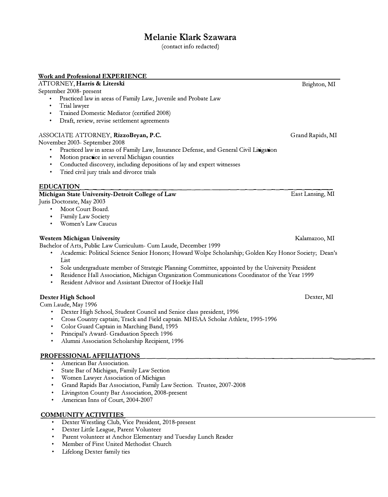## **Melanie Klark Szawara**

(contact info redacted)

### **Work and Professional EXPERIENCE**

*A* ITORNEY, **Harris** & **Literski** 

September 2008- present

- Practiced law in areas of Family Law, Juvenile and Probate Law
- Trial lawyer
- Trained Domestic Mediator (certified 2008)
- Draft, review, revise settlement agreements

## ASSOCIATE ATTORNEY, **RizzoBryan, P.C.**

November 2003- September 2008

- Practiced law in areas of Family Law, Insurance Defense, and General Civil Litigation
- Motion practice in several Michigan counties
- Conducted discovery, including depositions of lay and expert witnesses
- Tried civil jury trials and divorce trials

## **EDUCATION**

## **Michigan State University-Detroit College of Law**

Juris Doctorate, May 2003

- Moot Court Board.
- Family Law Society
- Women's Law Caucus

## **Western Michigan University** Kalamazoo, MI

Bachelor of Arts, Public Law Curriculum- Cum Laude, December 1999

- Academic: Political Science Senior Honors; Howard Wolpe Scholarship; Golden Key Honor Society; Dean's List
- Sole undergraduate member of Strategic Planning Committee, appointed by the University President
- Residence Hall Association, Michigan Organization Communications Coordinator of the Year 1999
- Resident Advisor and Assistant Director of Hoekje Hall

## **Dexter High School**

Cwn Laude, May 1996

- Dexter High School, Student Council and Senior class president, 1996
- Cross Country captain; Track and Field captain. MHSAA Scholar Athlete, 1995-1996
- Color Guard Captain in Marching Band, 1995
- Principal's Award- Graduation Speech 1996
- Alumni Association Scholarship Recipient, 1996

## **PROFESSIONAL AFFILIATIONS**

- American Bar Association.
- State Bar of Michigan, Family Law Section
- Women Lawyer Association of Michigan
- Grand Rapids Bar Association, Family Law Section. Trustee, 2007-2008
- Livingston County Bar Association, 2008-present
- American Inns of Court, 2004-2007

## **COMMUNITY ACTIVITIES**

- Dexter Wrestling Club, Vice President, 2018-present
- Dexter Little League, Parent Volunteer
- Parent volunteer at Anchor Elementary and Tuesday Lunch Reader
- Member of First United Methodist Church
- Lifelong Dexter family ties

Brighton, MI

Grand Rapids, MI

East Lansing, MI

Dexter, MI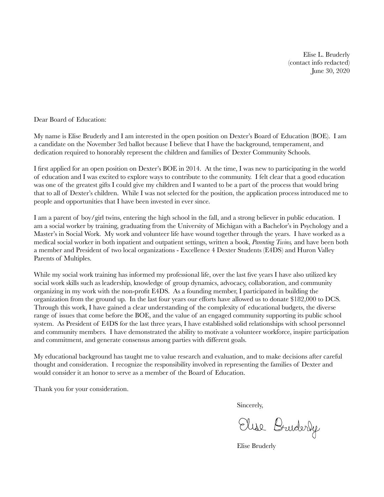Elise L. Bruderly (contact info redacted) June 30, 2020

Dear Board of Education:

My name is Elise Bruderly and I am interested in the open position on Dexter's Board of Education (BOE). I am a candidate on the November 3rd ballot because I believe that I have the background, temperament, and dedication required to honorably represent the children and families of Dexter Community Schools.

I first applied for an open position on Dexter's BOE in 2014. At the time, I was new to participating in the world of education and I was excited to explore ways to contribute to the community. I felt clear that a good education was one of the greatest gifts I could give my children and I wanted to be a part of the process that would bring that to all of Dexter's children. While I was not selected for the position, the application process introduced me to people and opportunities that I have been invested in ever since.

I am a parent of boy/girl twins, entering the high school in the fall, and a strong believer in public education. I am a social worker by training, graduating from the University of Michigan with a Bachelor's in Psychology and a Master's in Social Work. My work and volunteer life have wound together through the years. I have worked as a medical social worker in both inpatient and outpatient settings, written a book, *Parenting Twins,* and have been both a member and President of two local organizations - Excellence 4 Dexter Students (E4DS) and Huron Valley Parents of Multiples.

While my social work training has informed my professional life, over the last five years I have also utilized key social work skills such as leadership, knowledge of group dynamics, advocacy, collaboration, and community organizing in my work with the non-profit E4DS. As a founding member, I participated in building the organization from the ground up. In the last four years our efforts have allowed us to donate \$182,000 to DCS. Through this work, I have gained a clear understanding of the complexity of educational budgets, the diverse range of issues that come before the BOE, and the value of an engaged community supporting its public school system. As President of E4DS for the last three years, I have established solid relationships with school personnel and community members. I have demonstrated the ability to motivate a volunteer workforce, inspire participation and commitment, and generate consensus among parties with different goals.

My educational background has taught me to value research and evaluation, and to make decisions after careful thought and consideration. I recognize the responsibility involved in representing the families of Dexter and would consider it an honor to serve as a member of the Board of Education.

Thank you for your consideration.

Sincerely,

Elise Bruderly

Elise Bruderly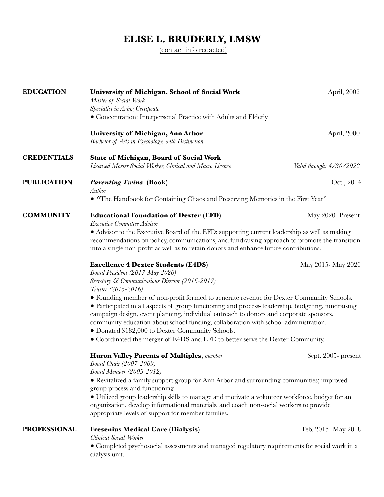## **ELISE L. BRUDERLY, LMSW**

[\(contact info redacted\)](mailto:eliseleeann@comcast.net)

| <b>EDUCATION</b>    | University of Michigan, School of Social Work<br>Master of Social Work<br>Specialist in Aging Certificate                                                                                                                                                                                                                                                                                                                                                                                                                                                                                                                                                                       | April, 2002              |
|---------------------|---------------------------------------------------------------------------------------------------------------------------------------------------------------------------------------------------------------------------------------------------------------------------------------------------------------------------------------------------------------------------------------------------------------------------------------------------------------------------------------------------------------------------------------------------------------------------------------------------------------------------------------------------------------------------------|--------------------------|
|                     | • Concentration: Interpersonal Practice with Adults and Elderly<br>University of Michigan, Ann Arbor<br>Bachelor of Arts in Psychology, with Distinction                                                                                                                                                                                                                                                                                                                                                                                                                                                                                                                        | April, 2000              |
| <b>CREDENTIALS</b>  | <b>State of Michigan, Board of Social Work</b><br>Licensed Master Social Worker, Clinical and Macro License                                                                                                                                                                                                                                                                                                                                                                                                                                                                                                                                                                     | Valid through: 4/30/2022 |
| <b>PUBLICATION</b>  | <b>Parenting Twins (Book)</b><br>Author<br>• "The Handbook for Containing Chaos and Preserving Memories in the First Year"                                                                                                                                                                                                                                                                                                                                                                                                                                                                                                                                                      | Oct., 2014               |
| <b>COMMUNITY</b>    | <b>Educational Foundation of Dexter (EFD)</b><br>Executive Committee Advisor<br>• Advisor to the Executive Board of the EFD: supporting current leadership as well as making<br>recommendations on policy, communications, and fundraising approach to promote the transition<br>into a single non-profit as well as to retain donors and enhance future contributions.                                                                                                                                                                                                                                                                                                         |                          |
|                     | <b>Excellence 4 Dexter Students (E4DS)</b><br>Board President (2017-May 2020)<br>Secretary & Communications Director (2016-2017)<br>Trustee (2015-2016)<br>• Founding member of non-profit formed to generate revenue for Dexter Community Schools.<br>• Participated in all aspects of group functioning and process-leadership, budgeting, fundraising<br>campaign design, event planning, individual outreach to donors and corporate sponsors,<br>community education about school funding, collaboration with school administration.<br>• Donated \$182,000 to Dexter Community Schools.<br>• Coordinated the merger of E4DS and EFD to better serve the Dexter Community. | May 2015- May 2020       |
|                     | <b>Huron Valley Parents of Multiples</b> , member<br>Board Chair (2007-2009)<br><b>Board Member (2009-2012)</b><br>• Revitalized a family support group for Ann Arbor and surrounding communities; improved<br>group process and functioning.<br>· Utilized group leadership skills to manage and motivate a volunteer workforce, budget for an<br>organization, develop informational materials, and coach non-social workers to provide<br>appropriate levels of support for member families.                                                                                                                                                                                 | Sept. 2005- present      |
| <b>PROFESSIONAL</b> | <b>Fresenius Medical Care (Dialysis)</b><br>Clinical Social Worker<br>• Completed psychosocial assessments and managed regulatory requirements for social work in a<br>dialysis unit.                                                                                                                                                                                                                                                                                                                                                                                                                                                                                           | Feb. 2015- May 2018      |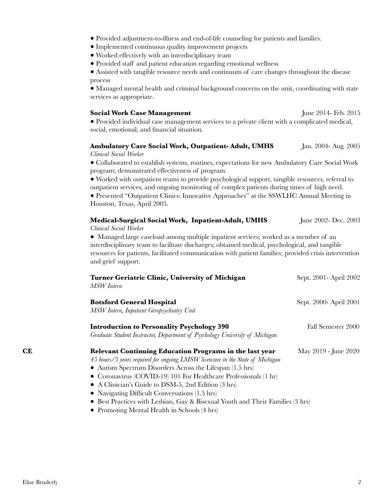- Provided adjustment-to-illness and end-of-life counseling for patients and families.
	- Implemented continuous quality improvement projects
	- Worked effectively with an interdisciplinary team
	- Provided staff and patient education regarding emotional wellness

 ● Assisted with tangible resource needs and continuum of care changes throughout the disease process

 ● Managed mental health and criminal background concerns on the unit, coordinating with state services as appropriate.

#### **Social Work Case Management** *June 2014- Feb. 2015*

 ● Provided individual case management services to a private client with a complicated medical, social, emotional, and financial situation.

#### **Ambulatory Care Social Work, Outpatient- Adult, UMHS** Jan. 2004- Aug. 2005 *Clinical Social Worker*

 ● Collaborated to establish systems, routines, expectations for new Ambulatory Care Social Work program; demonstrated effectiveness of program.

 ● Worked with outpatient teams to provide psychological support, tangible resources, referral to outpatient services, and ongoing monitoring of complex patients during times of high need.

 ● Presented "Outpatient Clinics: Innovative Approaches" at the SSWLHC Annual Meeting in Houston, Texas, April 2005.

## **Medical-Surgical Social Work, Inpatient-Adult, UMHS** June 2002- Dec. 2003 *Clinical Social Worker*

• Managed large caseload among multiple inpatient services; worked as a member of an interdisciplinary team to facilitate discharges; obtained medical, psychological, and tangible resources for patients, facilitated communication with patient families; provided crisis intervention and grief support.

|    | Turner Geriatric Clinic, University of Michigan<br>MSW Intern                                                                                                                                                                                                                                                                                                                                                                                                                                   | Sept. 2001 - April 2002 |
|----|-------------------------------------------------------------------------------------------------------------------------------------------------------------------------------------------------------------------------------------------------------------------------------------------------------------------------------------------------------------------------------------------------------------------------------------------------------------------------------------------------|-------------------------|
|    | <b>Botsford General Hospital</b><br>MSW Intern, Inpatient Geropsychiatry Unit                                                                                                                                                                                                                                                                                                                                                                                                                   | Sept. 2000- April 2001  |
|    | <b>Introduction to Personality Psychology 390</b><br>Graduate Student Instructor, Department of Psychology University of Michigan                                                                                                                                                                                                                                                                                                                                                               | Fall Semester 2000      |
| CE | Relevant Continuing Education Programs in the last year<br>45 hours/3 years required for ongoing LMSW licensure in the State of Michigan<br>• Autism Spectrum Disorders Across the Lifespan $(1.5 \text{ hrs})$<br>• Coronavirus (COVID-19) 101 For Healthcare Professionals (1 hr)<br>• A Clinician's Guide to DSM-5, 2nd Edition (3 hrs)<br>• Navigating Difficult Conversations $(1.5 \text{ hrs})$<br>$\bullet$ Dest Ducation with Leaking Care & Discussed Vantheard Their Equilize (9 km) | May 2019 - June 2020    |

- Best Practices with Lesbian, Gay & Bisexual Youth and Their Families (3 hrs)
- **●** Promoting Mental Health in Schools (4 hrs)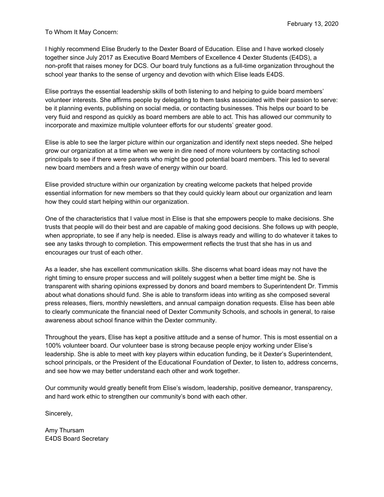To Whom It May Concern:

I highly recommend Elise Bruderly to the Dexter Board of Education. Elise and I have worked closely together since July 2017 as Executive Board Members of Excellence 4 Dexter Students (E4DS), a non-profit that raises money for DCS. Our board truly functions as a full-time organization throughout the school year thanks to the sense of urgency and devotion with which Elise leads E4DS.

Elise portrays the essential leadership skills of both listening to and helping to guide board members' volunteer interests. She affirms people by delegating to them tasks associated with their passion to serve: be it planning events, publishing on social media, or contacting businesses. This helps our board to be very fluid and respond as quickly as board members are able to act. This has allowed our community to incorporate and maximize multiple volunteer efforts for our students' greater good.

Elise is able to see the larger picture within our organization and identify next steps needed. She helped grow our organization at a time when we were in dire need of more volunteers by contacting school principals to see if there were parents who might be good potential board members. This led to several new board members and a fresh wave of energy within our board.

Elise provided structure within our organization by creating welcome packets that helped provide essential information for new members so that they could quickly learn about our organization and learn how they could start helping within our organization.

One of the characteristics that I value most in Elise is that she empowers people to make decisions. She trusts that people will do their best and are capable of making good decisions. She follows up with people, when appropriate, to see if any help is needed. Elise is always ready and willing to do whatever it takes to see any tasks through to completion. This empowerment reflects the trust that she has in us and encourages our trust of each other.

As a leader, she has excellent communication skills. She discerns what board ideas may not have the right timing to ensure proper success and will politely suggest when a better time might be. She is transparent with sharing opinions expressed by donors and board members to Superintendent Dr. Timmis about what donations should fund. She is able to transform ideas into writing as she composed several press releases, fliers, monthly newsletters, and annual campaign donation requests. Elise has been able to clearly communicate the financial need of Dexter Community Schools, and schools in general, to raise awareness about school finance within the Dexter community.

Throughout the years, Elise has kept a positive attitude and a sense of humor. This is most essential on a 100% volunteer board. Our volunteer base is strong because people enjoy working under Elise's leadership. She is able to meet with key players within education funding, be it Dexter's Superintendent, school principals, or the President of the Educational Foundation of Dexter, to listen to, address concerns, and see how we may better understand each other and work together.

Our community would greatly benefit from Elise's wisdom, leadership, positive demeanor, transparency, and hard work ethic to strengthen our community's bond with each other.

Sincerely,

Amy Thursam E4DS Board Secretary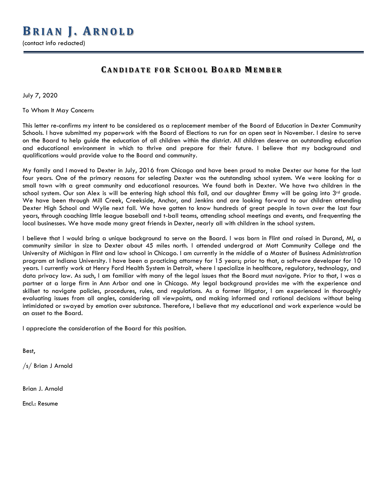(contact info redacted)

## **C ANDIDATE FOR S CHOOL B OARD M EMBER**

July 7, 2020

To Whom It May Concern:

This letter re-confirms my intent to be considered as a replacement member of the Board of Education in Dexter Community Schools. I have submitted my paperwork with the Board of Elections to run for an open seat in November. I desire to serve on the Board to help guide the education of all children within the district. All children deserve an outstanding education and educational environment in which to thrive and prepare for their future. I believe that my background and qualifications would provide value to the Board and community.

My family and I moved to Dexter in July, 2016 from Chicago and have been proud to make Dexter our home for the last four years. One of the primary reasons for selecting Dexter was the outstanding school system. We were looking for a small town with a great community and educational resources. We found both in Dexter. We have two children in the school system. Our son Alex is will be entering high school this fall, and our daughter Emmy will be going into 3rd grade. We have been through Mill Creek, Creekside, Anchor, and Jenkins and are looking forward to our children attending Dexter High School and Wylie next fall. We have gotten to know hundreds of great people in town over the last four years, through coaching little league baseball and t-ball teams, attending school meetings and events, and frequenting the local businesses. We have made many great friends in Dexter, nearly all with children in the school system.

I believe that I would bring a unique background to serve on the Board. I was born in Flint and raised in Durand, MI, a community similar in size to Dexter about 45 miles north. I attended undergrad at Mott Community College and the University of Michigan in Flint and law school in Chicago. I am currently in the middle of a Master of Business Administration program at Indiana University. I have been a practicing attorney for 15 years; prior to that, a software developer for 10 years. I currently work at Henry Ford Health System in Detroit, where I specialize in healthcare, regulatory, technology, and data privacy law. As such, I am familiar with many of the legal issues that the Board must navigate. Prior to that, I was a partner at a large firm in Ann Arbor and one in Chicago. My legal background provides me with the experience and skillset to navigate policies, procedures, rules, and regulations. As a former litigator, I am experienced in thoroughly evaluating issues from all angles, considering all viewpoints, and making informed and rational decisions without being intimidated or swayed by emotion over substance. Therefore, I believe that my educational and work experience would be an asset to the Board.

I appreciate the consideration of the Board for this position.

Best,

/s/ Brian J Arnold

Brian J. Arnold

Encl.: Resume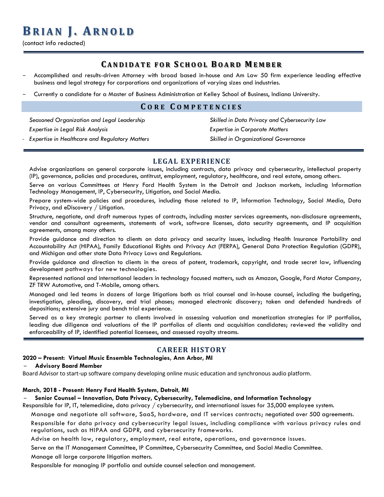## **B RIAN J . A RNOLD**

(contact info redacted)

## **C ANDIDATE FOR S CHOOL B OARD M EMBER**

- Accomplished and results-driven Attorney with broad based in-house and Am Law 50 firm experience leading effective business and legal strategy for corporations and organizations of varying sizes and industries.
- Currently a candidate for a Master of Business Administration at Kelley School of Business, Indiana University.

## **C ORE C OMPETENCIES**

*Seasoned Organization and Legal Leadership Expertise in Legal Risk Analysis*

*Expertise in Healthcare and Regulatory Matters*

*Skilled in Data Privacy and Cybersecurity Law Expertise in Corporate Matters Skilled in Organizational Governance*

## **LEGAL EXPERIENCE**

Advise organizations on general corporate issues, including contracts, data privacy and cybersecurity, intellectual property (IP), governance, policies and procedures, antitrust, employment, regulatory, healthcare, and real estate, among others.

Serve on various Committees at Henry Ford Health System in the Detroit and Jackson markets, including Information Technology Management, IP, Cybersecurity, Litigation, and Social Media.

Prepare system-wide policies and procedures, including those related to IP, Information Technology, Social Media, Data Privacy, and eDiscovery / Litigation.

Structure, negotiate, and draft numerous types of contracts, including master services agreements, non-disclosure agreements, vendor and consultant agreements, statements of work, software licenses, data security agreements, and IP acquisition agreements, among many others.

Provide guidance and direction to clients on data privacy and security issues, including Health Insurance Portability and Accountability Act (HIPAA), Family Educational Rights and Privacy Act (FERPA), General Data Protection Regulation (GDPR), and Michigan and other state Data Privacy Laws and Regulations.

Provide guidance and direction to clients in the areas of patent, trademark, copyright, and trade secret law, influencing development pathways for new technologies.

Represented national and international leaders in technology focused matters, such as Amazon, Google, Ford Motor Company, ZF TRW Automotive, and T-Mobile, among others.

Managed and led teams in dozens of large litigations both as trial counsel and in-house counsel, including the budgeting, investigation, pleading, discovery, and trial phases; managed electronic discovery; taken and defended hundreds of depositions; extensive jury and bench trial experience.

Served as a key strategic partner to clients involved in assessing valuation and monetization strategies for IP portfolios, leading due diligence and valuations of the IP portfolios of clients and acquisition candidates; reviewed the validity and enforceability of IP, identified potential licensees, and assessed royalty streams.

## **CAREER HISTORY**

#### **2020 – Present: Virtual Music Ensemble Technologies, Ann Arbor, MI**

#### – **Advisory Board Member**

Board Advisor to start-up software company developing online music education and synchronous audio platform.

#### **March, 2018 - Present: Henry Ford Health System, Detroit, MI**

#### – **Senior Counsel – Innovation, Data Privacy, Cybersecurity, Telemedicine, and Information Technology**

Responsible for IP, IT, telemedicine, data privacy / cybersecurity, and international issues for 35,000 employee system.

Manage and negotiate all software, SaaS, hardware, and IT services contracts; negotiated over 500 agreements.

Responsible for data privacy and cybersecurity legal issues, including compliance with various privacy rules and regulations, such as HIPAA and GDPR, and cybersecurity frameworks.

Advise on health law, regulatory, employment, real estate, operations, and governance issues.

Serve on the IT Management Committee, IP Committee, Cybersecurity Committee, and Social Media Committee.

Manage all large corporate litigation matters.

Responsible for managing IP portfolio and outside counsel selection and management.